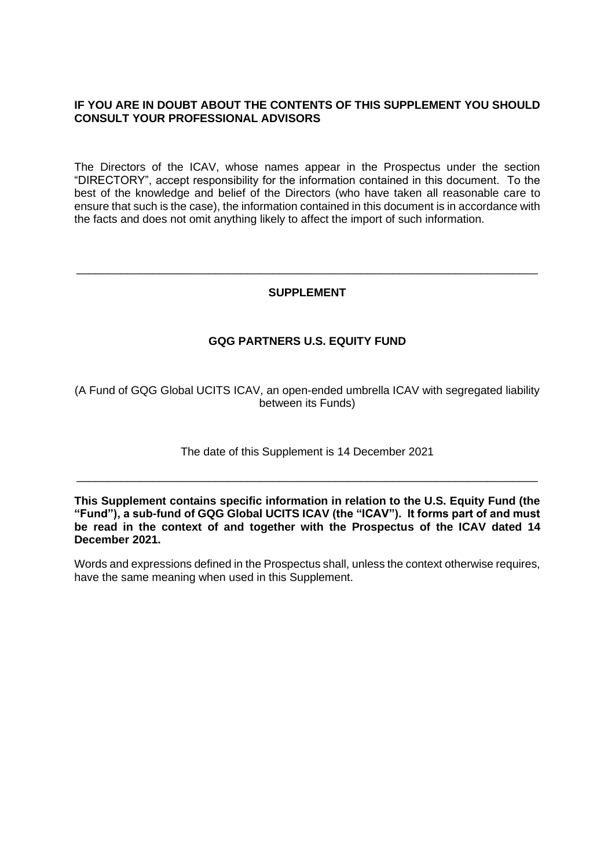## **IF YOU ARE IN DOUBT ABOUT THE CONTENTS OF THIS SUPPLEMENT YOU SHOULD CONSULT YOUR PROFESSIONAL ADVISORS**

The Directors of the ICAV, whose names appear in the Prospectus under the section "DIRECTORY", accept responsibility for the information contained in this document. To the best of the knowledge and belief of the Directors (who have taken all reasonable care to ensure that such is the case), the information contained in this document is in accordance with the facts and does not omit anything likely to affect the import of such information.

### **SUPPLEMENT**

\_\_\_\_\_\_\_\_\_\_\_\_\_\_\_\_\_\_\_\_\_\_\_\_\_\_\_\_\_\_\_\_\_\_\_\_\_\_\_\_\_\_\_\_\_\_\_\_\_\_\_\_\_\_\_\_\_\_\_\_\_\_\_\_\_\_\_\_\_\_\_\_\_

# **GQG PARTNERS U.S. EQUITY FUND**

(A Fund of GQG Global UCITS ICAV, an open-ended umbrella ICAV with segregated liability between its Funds)

The date of this Supplement is 14 December 2021

\_\_\_\_\_\_\_\_\_\_\_\_\_\_\_\_\_\_\_\_\_\_\_\_\_\_\_\_\_\_\_\_\_\_\_\_\_\_\_\_\_\_\_\_\_\_\_\_\_\_\_\_\_\_\_\_\_\_\_\_\_\_\_\_\_\_\_\_\_\_\_\_\_

**This Supplement contains specific information in relation to the U.S. Equity Fund (the "Fund"), a sub-fund of GQG Global UCITS ICAV (the "ICAV"). It forms part of and must be read in the context of and together with the Prospectus of the ICAV dated 14 December 2021.**

Words and expressions defined in the Prospectus shall, unless the context otherwise requires, have the same meaning when used in this Supplement.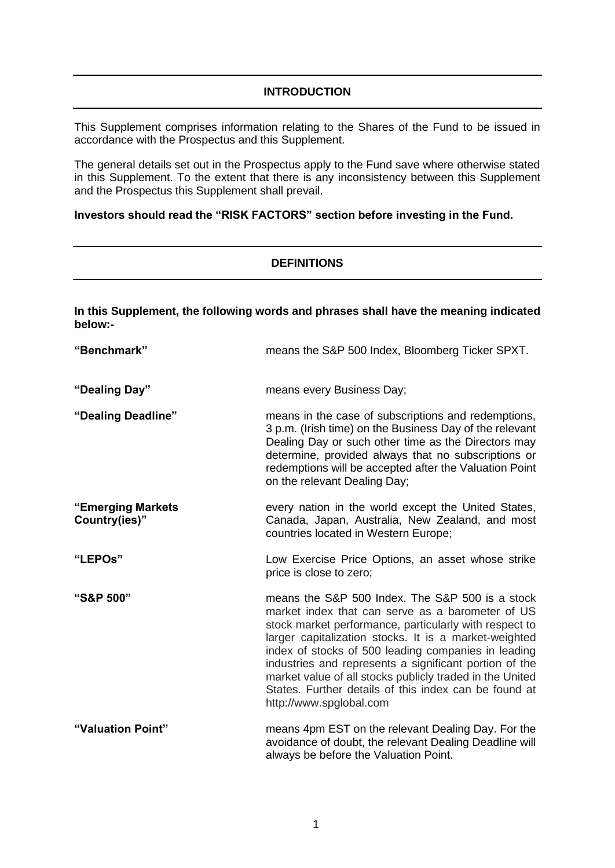## **INTRODUCTION**

This Supplement comprises information relating to the Shares of the Fund to be issued in accordance with the Prospectus and this Supplement.

The general details set out in the Prospectus apply to the Fund save where otherwise stated in this Supplement. To the extent that there is any inconsistency between this Supplement and the Prospectus this Supplement shall prevail.

### **Investors should read the "RISK FACTORS" section before investing in the Fund.**

### **DEFINITIONS**

**In this Supplement, the following words and phrases shall have the meaning indicated below:-**

| "Benchmark"                        | means the S&P 500 Index, Bloomberg Ticker SPXT.                                                                                                                                                                                                                                                                                                                                                                                                                                         |
|------------------------------------|-----------------------------------------------------------------------------------------------------------------------------------------------------------------------------------------------------------------------------------------------------------------------------------------------------------------------------------------------------------------------------------------------------------------------------------------------------------------------------------------|
| "Dealing Day"                      | means every Business Day;                                                                                                                                                                                                                                                                                                                                                                                                                                                               |
| "Dealing Deadline"                 | means in the case of subscriptions and redemptions,<br>3 p.m. (Irish time) on the Business Day of the relevant<br>Dealing Day or such other time as the Directors may<br>determine, provided always that no subscriptions or<br>redemptions will be accepted after the Valuation Point<br>on the relevant Dealing Day;                                                                                                                                                                  |
| "Emerging Markets<br>Country(ies)" | every nation in the world except the United States,<br>Canada, Japan, Australia, New Zealand, and most<br>countries located in Western Europe;                                                                                                                                                                                                                                                                                                                                          |
| "LEPOs"                            | Low Exercise Price Options, an asset whose strike<br>price is close to zero;                                                                                                                                                                                                                                                                                                                                                                                                            |
| "S&P 500"                          | means the S&P 500 Index. The S&P 500 is a stock<br>market index that can serve as a barometer of US<br>stock market performance, particularly with respect to<br>larger capitalization stocks. It is a market-weighted<br>index of stocks of 500 leading companies in leading<br>industries and represents a significant portion of the<br>market value of all stocks publicly traded in the United<br>States. Further details of this index can be found at<br>http://www.spglobal.com |
| "Valuation Point"                  | means 4pm EST on the relevant Dealing Day. For the<br>avoidance of doubt, the relevant Dealing Deadline will<br>always be before the Valuation Point.                                                                                                                                                                                                                                                                                                                                   |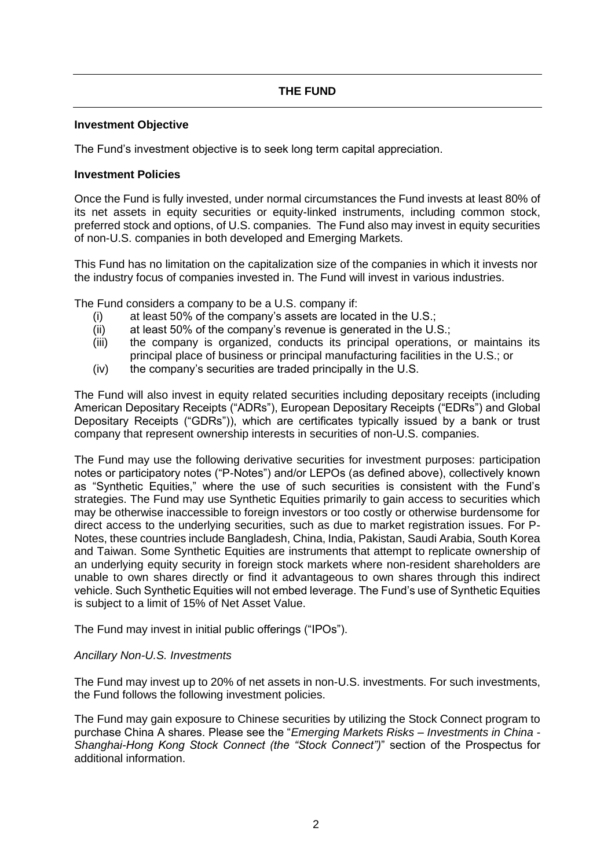### **Investment Objective**

The Fund's investment objective is to seek long term capital appreciation.

### **Investment Policies**

Once the Fund is fully invested, under normal circumstances the Fund invests at least 80% of its net assets in equity securities or equity-linked instruments, including common stock, preferred stock and options, of U.S. companies. The Fund also may invest in equity securities of non-U.S. companies in both developed and Emerging Markets.

This Fund has no limitation on the capitalization size of the companies in which it invests nor the industry focus of companies invested in. The Fund will invest in various industries.

The Fund considers a company to be a U.S. company if:

- (i) at least 50% of the company's assets are located in the U.S.;
- (ii) at least 50% of the company's revenue is generated in the U.S.;
- (iii) the company is organized, conducts its principal operations, or maintains its principal place of business or principal manufacturing facilities in the U.S.; or
- (iv) the company's securities are traded principally in the U.S.

The Fund will also invest in equity related securities including depositary receipts (including American Depositary Receipts ("ADRs"), European Depositary Receipts ("EDRs") and Global Depositary Receipts ("GDRs")), which are certificates typically issued by a bank or trust company that represent ownership interests in securities of non-U.S. companies.

The Fund may use the following derivative securities for investment purposes: participation notes or participatory notes ("P-Notes") and/or LEPOs (as defined above), collectively known as "Synthetic Equities," where the use of such securities is consistent with the Fund's strategies. The Fund may use Synthetic Equities primarily to gain access to securities which may be otherwise inaccessible to foreign investors or too costly or otherwise burdensome for direct access to the underlying securities, such as due to market registration issues. For P-Notes, these countries include Bangladesh, China, India, Pakistan, Saudi Arabia, South Korea and Taiwan. Some Synthetic Equities are instruments that attempt to replicate ownership of an underlying equity security in foreign stock markets where non-resident shareholders are unable to own shares directly or find it advantageous to own shares through this indirect vehicle. Such Synthetic Equities will not embed leverage. The Fund's use of Synthetic Equities is subject to a limit of 15% of Net Asset Value.

The Fund may invest in initial public offerings ("IPOs").

#### *Ancillary Non-U.S. Investments*

The Fund may invest up to 20% of net assets in non-U.S. investments. For such investments, the Fund follows the following investment policies.

The Fund may gain exposure to Chinese securities by utilizing the Stock Connect program to purchase China A shares. Please see the "*Emerging Markets Risks – Investments in China - Shanghai-Hong Kong Stock Connect (the "Stock Connect")*" section of the Prospectus for additional information.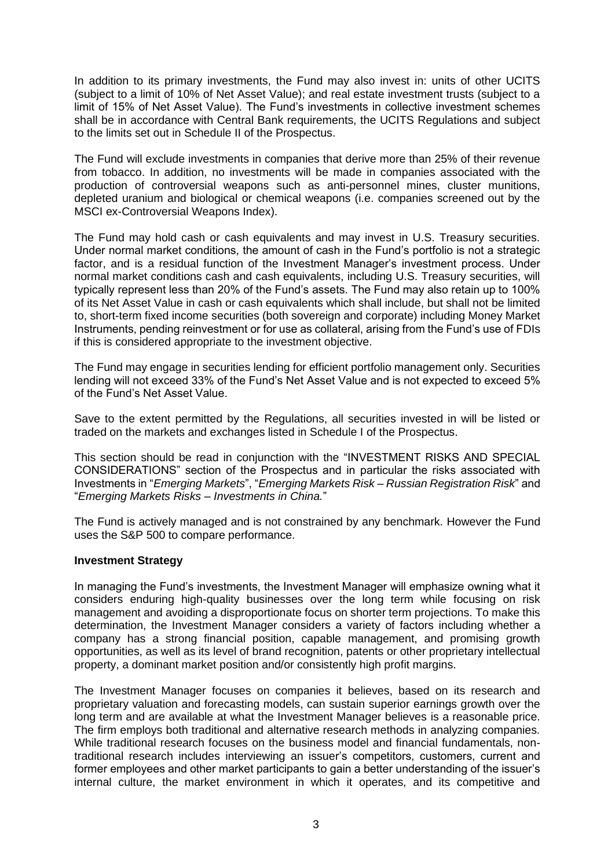In addition to its primary investments, the Fund may also invest in: units of other UCITS (subject to a limit of 10% of Net Asset Value); and real estate investment trusts (subject to a limit of 15% of Net Asset Value). The Fund's investments in collective investment schemes shall be in accordance with Central Bank requirements, the UCITS Regulations and subject to the limits set out in Schedule II of the Prospectus.

The Fund will exclude investments in companies that derive more than 25% of their revenue from tobacco. In addition, no investments will be made in companies associated with the production of controversial weapons such as anti-personnel mines, cluster munitions, depleted uranium and biological or chemical weapons (i.e. companies screened out by the MSCI ex-Controversial Weapons Index).

The Fund may hold cash or cash equivalents and may invest in U.S. Treasury securities. Under normal market conditions, the amount of cash in the Fund's portfolio is not a strategic factor, and is a residual function of the Investment Manager's investment process. Under normal market conditions cash and cash equivalents, including U.S. Treasury securities, will typically represent less than 20% of the Fund's assets. The Fund may also retain up to 100% of its Net Asset Value in cash or cash equivalents which shall include, but shall not be limited to, short-term fixed income securities (both sovereign and corporate) including Money Market Instruments, pending reinvestment or for use as collateral, arising from the Fund's use of FDIs if this is considered appropriate to the investment objective.

The Fund may engage in securities lending for efficient portfolio management only. Securities lending will not exceed 33% of the Fund's Net Asset Value and is not expected to exceed 5% of the Fund's Net Asset Value.

Save to the extent permitted by the Regulations, all securities invested in will be listed or traded on the markets and exchanges listed in Schedule I of the Prospectus.

This section should be read in conjunction with the "INVESTMENT RISKS AND SPECIAL CONSIDERATIONS" section of the Prospectus and in particular the risks associated with Investments in "*Emerging Markets*", "*Emerging Markets Risk – Russian Registration Risk*" and "*Emerging Markets Risks – Investments in China.*"

The Fund is actively managed and is not constrained by any benchmark. However the Fund uses the S&P 500 to compare performance.

### **Investment Strategy**

In managing the Fund's investments, the Investment Manager will emphasize owning what it considers enduring high-quality businesses over the long term while focusing on risk management and avoiding a disproportionate focus on shorter term projections. To make this determination, the Investment Manager considers a variety of factors including whether a company has a strong financial position, capable management, and promising growth opportunities, as well as its level of brand recognition, patents or other proprietary intellectual property, a dominant market position and/or consistently high profit margins.

The Investment Manager focuses on companies it believes, based on its research and proprietary valuation and forecasting models, can sustain superior earnings growth over the long term and are available at what the Investment Manager believes is a reasonable price. The firm employs both traditional and alternative research methods in analyzing companies. While traditional research focuses on the business model and financial fundamentals, nontraditional research includes interviewing an issuer's competitors, customers, current and former employees and other market participants to gain a better understanding of the issuer's internal culture, the market environment in which it operates, and its competitive and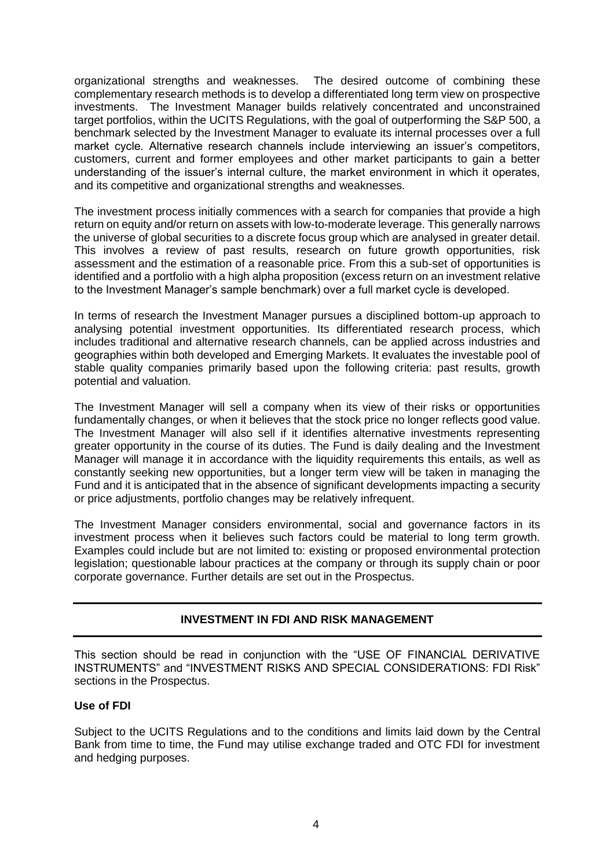organizational strengths and weaknesses. The desired outcome of combining these complementary research methods is to develop a differentiated long term view on prospective investments. The Investment Manager builds relatively concentrated and unconstrained target portfolios, within the UCITS Regulations, with the goal of outperforming the S&P 500, a benchmark selected by the Investment Manager to evaluate its internal processes over a full market cycle. Alternative research channels include interviewing an issuer's competitors, customers, current and former employees and other market participants to gain a better understanding of the issuer's internal culture, the market environment in which it operates, and its competitive and organizational strengths and weaknesses.

The investment process initially commences with a search for companies that provide a high return on equity and/or return on assets with low-to-moderate leverage. This generally narrows the universe of global securities to a discrete focus group which are analysed in greater detail. This involves a review of past results, research on future growth opportunities, risk assessment and the estimation of a reasonable price. From this a sub-set of opportunities is identified and a portfolio with a high alpha proposition (excess return on an investment relative to the Investment Manager's sample benchmark) over a full market cycle is developed.

In terms of research the Investment Manager pursues a disciplined bottom-up approach to analysing potential investment opportunities. Its differentiated research process, which includes traditional and alternative research channels, can be applied across industries and geographies within both developed and Emerging Markets. It evaluates the investable pool of stable quality companies primarily based upon the following criteria: past results, growth potential and valuation.

The Investment Manager will sell a company when its view of their risks or opportunities fundamentally changes, or when it believes that the stock price no longer reflects good value. The Investment Manager will also sell if it identifies alternative investments representing greater opportunity in the course of its duties. The Fund is daily dealing and the Investment Manager will manage it in accordance with the liquidity requirements this entails, as well as constantly seeking new opportunities, but a longer term view will be taken in managing the Fund and it is anticipated that in the absence of significant developments impacting a security or price adjustments, portfolio changes may be relatively infrequent.

The Investment Manager considers environmental, social and governance factors in its investment process when it believes such factors could be material to long term growth. Examples could include but are not limited to: existing or proposed environmental protection legislation; questionable labour practices at the company or through its supply chain or poor corporate governance. Further details are set out in the Prospectus.

# **INVESTMENT IN FDI AND RISK MANAGEMENT**

This section should be read in conjunction with the "USE OF FINANCIAL DERIVATIVE INSTRUMENTS" and "INVESTMENT RISKS AND SPECIAL CONSIDERATIONS: FDI Risk" sections in the Prospectus.

### **Use of FDI**

Subject to the UCITS Regulations and to the conditions and limits laid down by the Central Bank from time to time, the Fund may utilise exchange traded and OTC FDI for investment and hedging purposes.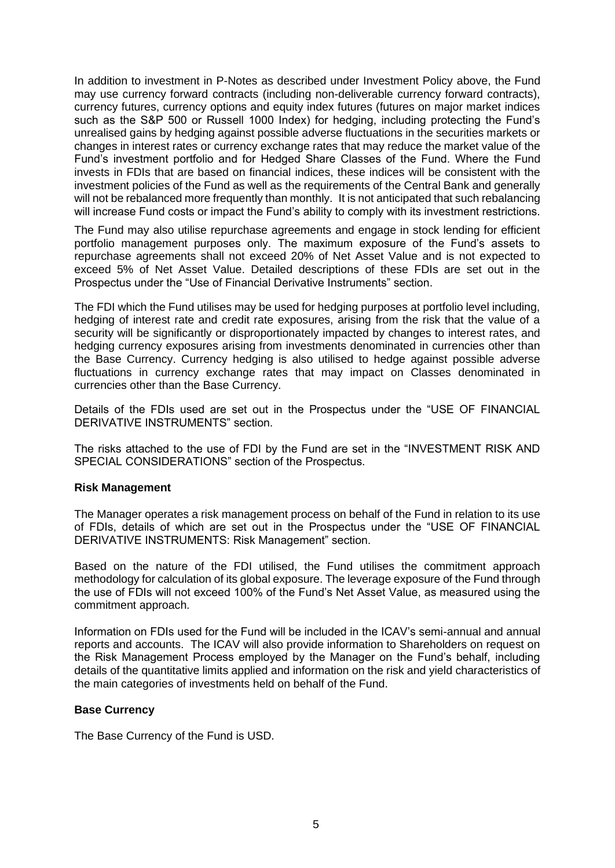In addition to investment in P-Notes as described under Investment Policy above, the Fund may use currency forward contracts (including non-deliverable currency forward contracts), currency futures, currency options and equity index futures (futures on major market indices such as the S&P 500 or Russell 1000 Index) for hedging, including protecting the Fund's unrealised gains by hedging against possible adverse fluctuations in the securities markets or changes in interest rates or currency exchange rates that may reduce the market value of the Fund's investment portfolio and for Hedged Share Classes of the Fund. Where the Fund invests in FDIs that are based on financial indices, these indices will be consistent with the investment policies of the Fund as well as the requirements of the Central Bank and generally will not be rebalanced more frequently than monthly. It is not anticipated that such rebalancing will increase Fund costs or impact the Fund's ability to comply with its investment restrictions.

The Fund may also utilise repurchase agreements and engage in stock lending for efficient portfolio management purposes only. The maximum exposure of the Fund's assets to repurchase agreements shall not exceed 20% of Net Asset Value and is not expected to exceed 5% of Net Asset Value. Detailed descriptions of these FDIs are set out in the Prospectus under the "Use of Financial Derivative Instruments" section.

The FDI which the Fund utilises may be used for hedging purposes at portfolio level including, hedging of interest rate and credit rate exposures, arising from the risk that the value of a security will be significantly or disproportionately impacted by changes to interest rates, and hedging currency exposures arising from investments denominated in currencies other than the Base Currency. Currency hedging is also utilised to hedge against possible adverse fluctuations in currency exchange rates that may impact on Classes denominated in currencies other than the Base Currency.

Details of the FDIs used are set out in the Prospectus under the "USE OF FINANCIAL DERIVATIVE INSTRUMENTS" section.

The risks attached to the use of FDI by the Fund are set in the "INVESTMENT RISK AND SPECIAL CONSIDERATIONS" section of the Prospectus.

#### **Risk Management**

The Manager operates a risk management process on behalf of the Fund in relation to its use of FDIs, details of which are set out in the Prospectus under the "USE OF FINANCIAL DERIVATIVE INSTRUMENTS: Risk Management" section.

Based on the nature of the FDI utilised, the Fund utilises the commitment approach methodology for calculation of its global exposure. The leverage exposure of the Fund through the use of FDIs will not exceed 100% of the Fund's Net Asset Value, as measured using the commitment approach.

Information on FDIs used for the Fund will be included in the ICAV's semi-annual and annual reports and accounts. The ICAV will also provide information to Shareholders on request on the Risk Management Process employed by the Manager on the Fund's behalf, including details of the quantitative limits applied and information on the risk and yield characteristics of the main categories of investments held on behalf of the Fund.

#### **Base Currency**

The Base Currency of the Fund is USD.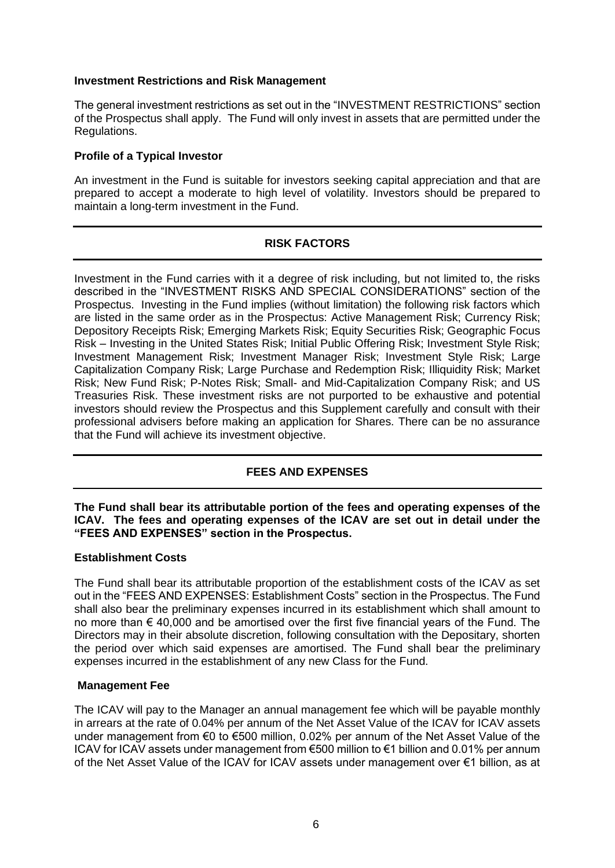### **Investment Restrictions and Risk Management**

The general investment restrictions as set out in the "INVESTMENT RESTRICTIONS" section of the Prospectus shall apply. The Fund will only invest in assets that are permitted under the Regulations.

## **Profile of a Typical Investor**

An investment in the Fund is suitable for investors seeking capital appreciation and that are prepared to accept a moderate to high level of volatility. Investors should be prepared to maintain a long-term investment in the Fund.

# **RISK FACTORS**

Investment in the Fund carries with it a degree of risk including, but not limited to, the risks described in the "INVESTMENT RISKS AND SPECIAL CONSIDERATIONS" section of the Prospectus. Investing in the Fund implies (without limitation) the following risk factors which are listed in the same order as in the Prospectus: Active Management Risk; Currency Risk; Depository Receipts Risk; Emerging Markets Risk; Equity Securities Risk; Geographic Focus Risk – Investing in the United States Risk; Initial Public Offering Risk; Investment Style Risk; Investment Management Risk; Investment Manager Risk; Investment Style Risk; Large Capitalization Company Risk; Large Purchase and Redemption Risk; Illiquidity Risk; Market Risk; New Fund Risk; P-Notes Risk; Small- and Mid-Capitalization Company Risk; and US Treasuries Risk. These investment risks are not purported to be exhaustive and potential investors should review the Prospectus and this Supplement carefully and consult with their professional advisers before making an application for Shares. There can be no assurance that the Fund will achieve its investment objective.

# **FEES AND EXPENSES**

**The Fund shall bear its attributable portion of the fees and operating expenses of the ICAV. The fees and operating expenses of the ICAV are set out in detail under the "FEES AND EXPENSES" section in the Prospectus.** 

### **Establishment Costs**

The Fund shall bear its attributable proportion of the establishment costs of the ICAV as set out in the "FEES AND EXPENSES: Establishment Costs" section in the Prospectus. The Fund shall also bear the preliminary expenses incurred in its establishment which shall amount to no more than  $\epsilon$  40,000 and be amortised over the first five financial years of the Fund. The Directors may in their absolute discretion, following consultation with the Depositary, shorten the period over which said expenses are amortised. The Fund shall bear the preliminary expenses incurred in the establishment of any new Class for the Fund.

### **Management Fee**

The ICAV will pay to the Manager an annual management fee which will be payable monthly in arrears at the rate of 0.04% per annum of the Net Asset Value of the ICAV for ICAV assets under management from €0 to €500 million, 0.02% per annum of the Net Asset Value of the ICAV for ICAV assets under management from €500 million to €1 billion and 0.01% per annum of the Net Asset Value of the ICAV for ICAV assets under management over €1 billion, as at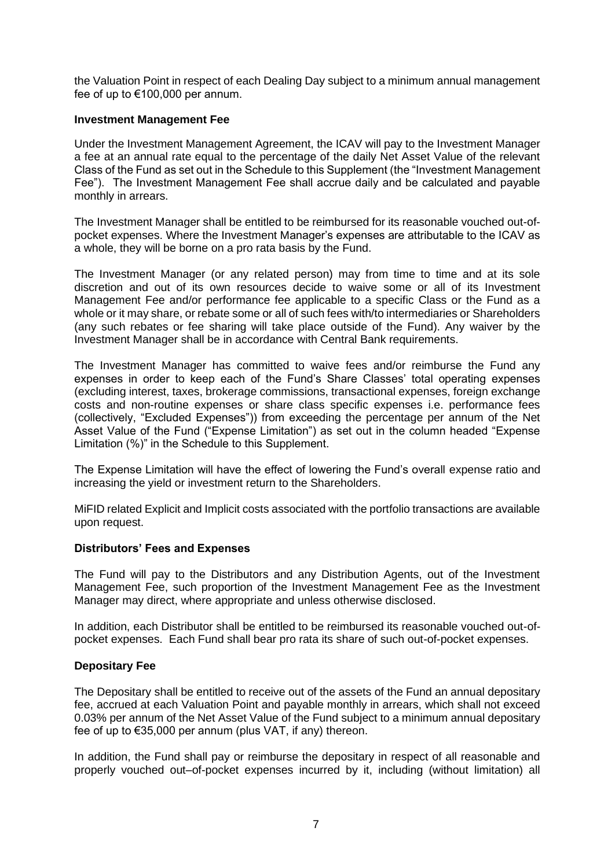the Valuation Point in respect of each Dealing Day subject to a minimum annual management fee of up to €100,000 per annum.

### **Investment Management Fee**

Under the Investment Management Agreement, the ICAV will pay to the Investment Manager a fee at an annual rate equal to the percentage of the daily Net Asset Value of the relevant Class of the Fund as set out in the Schedule to this Supplement (the "Investment Management Fee"). The Investment Management Fee shall accrue daily and be calculated and payable monthly in arrears.

The Investment Manager shall be entitled to be reimbursed for its reasonable vouched out-ofpocket expenses. Where the Investment Manager's expenses are attributable to the ICAV as a whole, they will be borne on a pro rata basis by the Fund.

The Investment Manager (or any related person) may from time to time and at its sole discretion and out of its own resources decide to waive some or all of its Investment Management Fee and/or performance fee applicable to a specific Class or the Fund as a whole or it may share, or rebate some or all of such fees with/to intermediaries or Shareholders (any such rebates or fee sharing will take place outside of the Fund). Any waiver by the Investment Manager shall be in accordance with Central Bank requirements.

The Investment Manager has committed to waive fees and/or reimburse the Fund any expenses in order to keep each of the Fund's Share Classes' total operating expenses (excluding interest, taxes, brokerage commissions, transactional expenses, foreign exchange costs and non-routine expenses or share class specific expenses i.e. performance fees (collectively, "Excluded Expenses")) from exceeding the percentage per annum of the Net Asset Value of the Fund ("Expense Limitation") as set out in the column headed "Expense Limitation (%)" in the Schedule to this Supplement.

The Expense Limitation will have the effect of lowering the Fund's overall expense ratio and increasing the yield or investment return to the Shareholders.

MiFID related Explicit and Implicit costs associated with the portfolio transactions are available upon request.

### **Distributors' Fees and Expenses**

The Fund will pay to the Distributors and any Distribution Agents, out of the Investment Management Fee, such proportion of the Investment Management Fee as the Investment Manager may direct, where appropriate and unless otherwise disclosed.

In addition, each Distributor shall be entitled to be reimbursed its reasonable vouched out-ofpocket expenses. Each Fund shall bear pro rata its share of such out-of-pocket expenses.

#### **Depositary Fee**

The Depositary shall be entitled to receive out of the assets of the Fund an annual depositary fee, accrued at each Valuation Point and payable monthly in arrears, which shall not exceed 0.03% per annum of the Net Asset Value of the Fund subject to a minimum annual depositary fee of up to €35,000 per annum (plus VAT, if any) thereon.

In addition, the Fund shall pay or reimburse the depositary in respect of all reasonable and properly vouched out–of-pocket expenses incurred by it, including (without limitation) all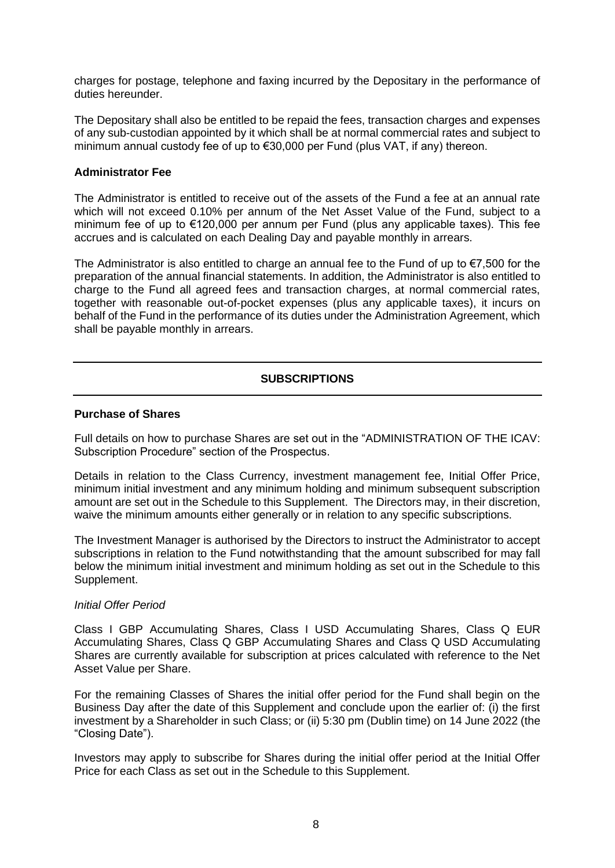charges for postage, telephone and faxing incurred by the Depositary in the performance of duties hereunder.

The Depositary shall also be entitled to be repaid the fees, transaction charges and expenses of any sub-custodian appointed by it which shall be at normal commercial rates and subject to minimum annual custody fee of up to €30,000 per Fund (plus VAT, if any) thereon.

### **Administrator Fee**

The Administrator is entitled to receive out of the assets of the Fund a fee at an annual rate which will not exceed 0.10% per annum of the Net Asset Value of the Fund, subject to a minimum fee of up to €120,000 per annum per Fund (plus any applicable taxes). This fee accrues and is calculated on each Dealing Day and payable monthly in arrears.

The Administrator is also entitled to charge an annual fee to the Fund of up to  $\epsilon$ 7,500 for the preparation of the annual financial statements. In addition, the Administrator is also entitled to charge to the Fund all agreed fees and transaction charges, at normal commercial rates, together with reasonable out-of-pocket expenses (plus any applicable taxes), it incurs on behalf of the Fund in the performance of its duties under the Administration Agreement, which shall be payable monthly in arrears.

# **SUBSCRIPTIONS**

### **Purchase of Shares**

Full details on how to purchase Shares are set out in the "ADMINISTRATION OF THE ICAV: Subscription Procedure" section of the Prospectus.

Details in relation to the Class Currency, investment management fee, Initial Offer Price, minimum initial investment and any minimum holding and minimum subsequent subscription amount are set out in the Schedule to this Supplement. The Directors may, in their discretion, waive the minimum amounts either generally or in relation to any specific subscriptions.

The Investment Manager is authorised by the Directors to instruct the Administrator to accept subscriptions in relation to the Fund notwithstanding that the amount subscribed for may fall below the minimum initial investment and minimum holding as set out in the Schedule to this Supplement.

#### *Initial Offer Period*

Class I GBP Accumulating Shares, Class I USD Accumulating Shares, Class Q EUR Accumulating Shares, Class Q GBP Accumulating Shares and Class Q USD Accumulating Shares are currently available for subscription at prices calculated with reference to the Net Asset Value per Share.

For the remaining Classes of Shares the initial offer period for the Fund shall begin on the Business Day after the date of this Supplement and conclude upon the earlier of: (i) the first investment by a Shareholder in such Class; or (ii) 5:30 pm (Dublin time) on 14 June 2022 (the "Closing Date").

Investors may apply to subscribe for Shares during the initial offer period at the Initial Offer Price for each Class as set out in the Schedule to this Supplement.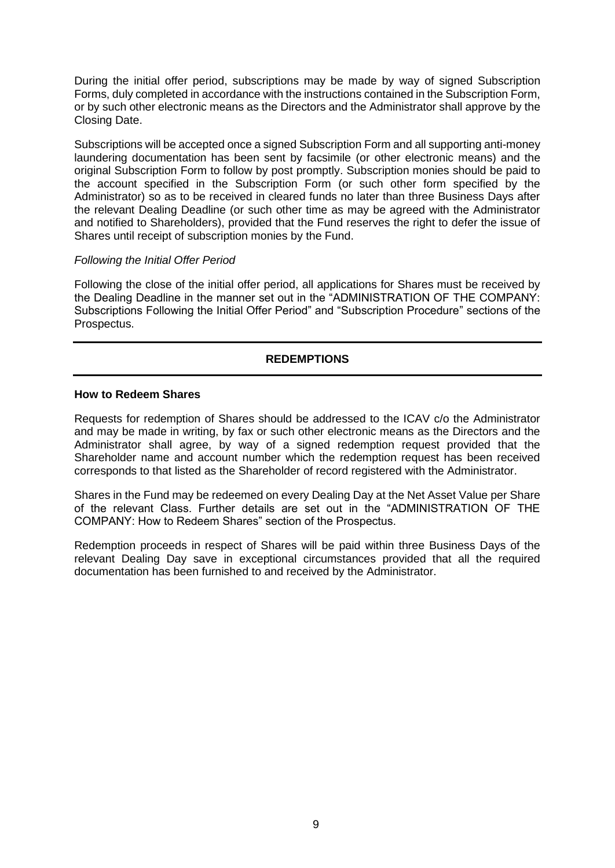During the initial offer period, subscriptions may be made by way of signed Subscription Forms, duly completed in accordance with the instructions contained in the Subscription Form, or by such other electronic means as the Directors and the Administrator shall approve by the Closing Date.

Subscriptions will be accepted once a signed Subscription Form and all supporting anti-money laundering documentation has been sent by facsimile (or other electronic means) and the original Subscription Form to follow by post promptly. Subscription monies should be paid to the account specified in the Subscription Form (or such other form specified by the Administrator) so as to be received in cleared funds no later than three Business Days after the relevant Dealing Deadline (or such other time as may be agreed with the Administrator and notified to Shareholders), provided that the Fund reserves the right to defer the issue of Shares until receipt of subscription monies by the Fund.

### *Following the Initial Offer Period*

Following the close of the initial offer period, all applications for Shares must be received by the Dealing Deadline in the manner set out in the "ADMINISTRATION OF THE COMPANY: Subscriptions Following the Initial Offer Period" and "Subscription Procedure" sections of the Prospectus.

# **REDEMPTIONS**

### **How to Redeem Shares**

Requests for redemption of Shares should be addressed to the ICAV c/o the Administrator and may be made in writing, by fax or such other electronic means as the Directors and the Administrator shall agree, by way of a signed redemption request provided that the Shareholder name and account number which the redemption request has been received corresponds to that listed as the Shareholder of record registered with the Administrator.

Shares in the Fund may be redeemed on every Dealing Day at the Net Asset Value per Share of the relevant Class. Further details are set out in the "ADMINISTRATION OF THE COMPANY: How to Redeem Shares" section of the Prospectus.

Redemption proceeds in respect of Shares will be paid within three Business Days of the relevant Dealing Day save in exceptional circumstances provided that all the required documentation has been furnished to and received by the Administrator.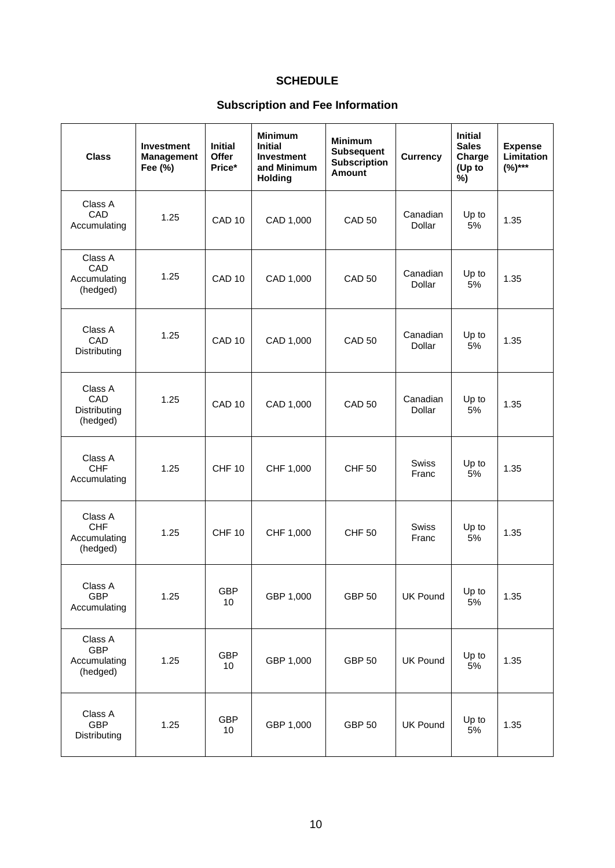# **SCHEDULE**

# **Subscription and Fee Information**

| <b>Class</b>                                      | <b>Investment</b><br><b>Management</b><br>Fee (%) | <b>Initial</b><br><b>Offer</b><br>Price* | <b>Minimum</b><br><b>Initial</b><br><b>Investment</b><br>and Minimum<br><b>Holding</b> | <b>Minimum</b><br><b>Subsequent</b><br><b>Subscription</b><br><b>Amount</b> | <b>Currency</b>           | <b>Initial</b><br><b>Sales</b><br>Charge<br>(Up to<br>%) | <b>Expense</b><br>Limitation<br>$(%)***$ |
|---------------------------------------------------|---------------------------------------------------|------------------------------------------|----------------------------------------------------------------------------------------|-----------------------------------------------------------------------------|---------------------------|----------------------------------------------------------|------------------------------------------|
| Class A<br>CAD<br>Accumulating                    | 1.25                                              | CAD <sub>10</sub>                        | CAD 1,000                                                                              | <b>CAD 50</b>                                                               | Canadian<br>Dollar        | Up to<br>5%                                              | 1.35                                     |
| Class A<br>CAD<br>Accumulating<br>(hedged)        | 1.25                                              | CAD <sub>10</sub>                        | CAD 1,000                                                                              | <b>CAD 50</b>                                                               | Canadian<br>Dollar        | Up to<br>5%                                              | 1.35                                     |
| Class A<br>CAD<br>Distributing                    | 1.25                                              | CAD <sub>10</sub>                        | CAD 1,000                                                                              | <b>CAD 50</b>                                                               | Canadian<br><b>Dollar</b> | Up to<br>5%                                              | 1.35                                     |
| Class A<br>CAD<br>Distributing<br>(hedged)        | 1.25                                              | CAD <sub>10</sub>                        | CAD 1,000                                                                              | <b>CAD 50</b>                                                               | Canadian<br>Dollar        | Up to<br>5%                                              | 1.35                                     |
| Class A<br><b>CHF</b><br>Accumulating             | 1.25                                              | <b>CHF 10</b>                            | CHF 1,000                                                                              | <b>CHF 50</b>                                                               | <b>Swiss</b><br>Franc     | Up to<br>5%                                              | 1.35                                     |
| Class A<br><b>CHF</b><br>Accumulating<br>(hedged) | 1.25                                              | <b>CHF 10</b>                            | CHF 1,000                                                                              | <b>CHF 50</b>                                                               | <b>Swiss</b><br>Franc     | Up to<br>5%                                              | 1.35                                     |
| Class A<br><b>GBP</b><br>Accumulating             | 1.25                                              | <b>GBP</b><br>10                         | GBP 1,000                                                                              | <b>GBP 50</b>                                                               | <b>UK Pound</b>           | Up to<br>5%                                              | 1.35                                     |
| Class A<br><b>GBP</b><br>Accumulating<br>(hedged) | 1.25                                              | <b>GBP</b><br>10                         | GBP 1,000                                                                              | <b>GBP 50</b>                                                               | <b>UK Pound</b>           | Up to<br>5%                                              | 1.35                                     |
| Class A<br><b>GBP</b><br>Distributing             | 1.25                                              | <b>GBP</b><br>10                         | GBP 1,000                                                                              | <b>GBP 50</b>                                                               | <b>UK Pound</b>           | Up to<br>5%                                              | 1.35                                     |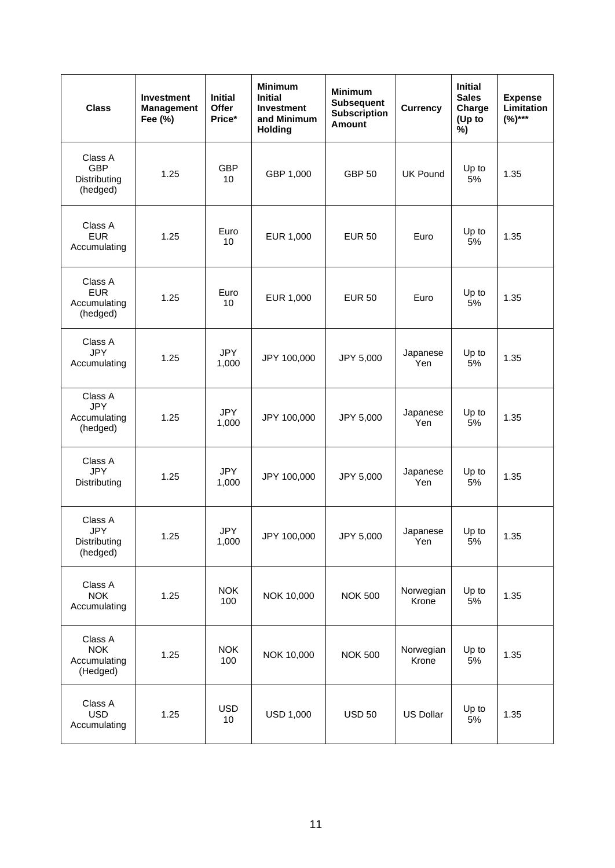| <b>Class</b>                                      | <b>Investment</b><br><b>Management</b><br>Fee (%) | <b>Initial</b><br>Offer<br>Price* | <b>Minimum</b><br><b>Initial</b><br><b>Investment</b><br>and Minimum<br><b>Holding</b> | <b>Minimum</b><br><b>Subsequent</b><br><b>Subscription</b><br><b>Amount</b> | Currency           | <b>Initial</b><br><b>Sales</b><br>Charge<br>(Up to<br>%) | <b>Expense</b><br>Limitation<br>$(%)***$ |
|---------------------------------------------------|---------------------------------------------------|-----------------------------------|----------------------------------------------------------------------------------------|-----------------------------------------------------------------------------|--------------------|----------------------------------------------------------|------------------------------------------|
| Class A<br><b>GBP</b><br>Distributing<br>(hedged) | 1.25                                              | <b>GBP</b><br>10                  | GBP 1,000                                                                              | <b>GBP 50</b>                                                               | <b>UK Pound</b>    | Up to<br>5%                                              | 1.35                                     |
| Class A<br><b>EUR</b><br>Accumulating             | 1.25                                              | Euro<br>10                        | EUR 1,000                                                                              | <b>EUR 50</b>                                                               | Euro               | Up to<br>5%                                              | 1.35                                     |
| Class A<br><b>EUR</b><br>Accumulating<br>(hedged) | 1.25                                              | Euro<br>10                        | EUR 1,000                                                                              | <b>EUR 50</b>                                                               | Euro               | Up to<br>5%                                              | 1.35                                     |
| Class A<br><b>JPY</b><br>Accumulating             | 1.25                                              | <b>JPY</b><br>1,000               | JPY 100,000                                                                            | JPY 5,000                                                                   | Japanese<br>Yen    | Up to<br>5%                                              | 1.35                                     |
| Class A<br><b>JPY</b><br>Accumulating<br>(hedged) | 1.25                                              | <b>JPY</b><br>1,000               | JPY 100,000                                                                            | JPY 5,000                                                                   | Japanese<br>Yen    | Up to<br>5%                                              | 1.35                                     |
| Class A<br><b>JPY</b><br>Distributing             | 1.25                                              | <b>JPY</b><br>1,000               | JPY 100,000                                                                            | JPY 5,000                                                                   | Japanese<br>Yen    | Up to<br>5%                                              | 1.35                                     |
| Class A<br><b>JPY</b><br>Distributing<br>(hedged) | 1.25                                              | <b>JPY</b><br>1,000               | JPY 100,000                                                                            | JPY 5,000                                                                   | Japanese<br>Yen    | Up to<br>5%                                              | 1.35                                     |
| Class A<br><b>NOK</b><br>Accumulating             | 1.25                                              | <b>NOK</b><br>100                 | NOK 10,000                                                                             | <b>NOK 500</b>                                                              | Norwegian<br>Krone | Up to<br>5%                                              | 1.35                                     |
| Class A<br><b>NOK</b><br>Accumulating<br>(Hedged) | 1.25                                              | <b>NOK</b><br>100                 | NOK 10,000                                                                             | <b>NOK 500</b>                                                              | Norwegian<br>Krone | Up to<br>5%                                              | 1.35                                     |
| Class A<br><b>USD</b><br>Accumulating             | 1.25                                              | <b>USD</b><br>10                  | <b>USD 1,000</b>                                                                       | <b>USD 50</b>                                                               | <b>US Dollar</b>   | Up to<br>5%                                              | 1.35                                     |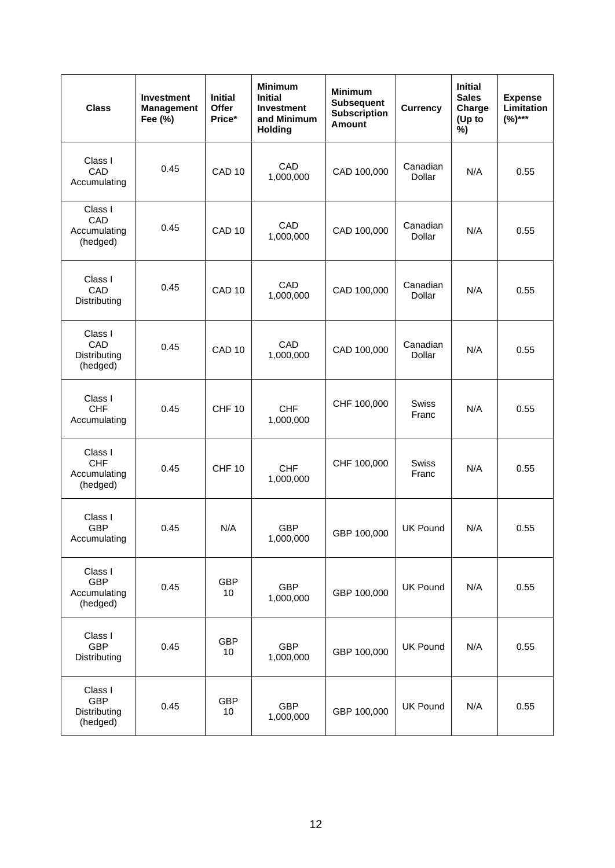| <b>Class</b>                                      | <b>Investment</b><br><b>Management</b><br>Fee (%) | <b>Initial</b><br>Offer<br>Price* | <b>Minimum</b><br><b>Initial</b><br><b>Investment</b><br>and Minimum<br><b>Holding</b> | <b>Minimum</b><br><b>Subsequent</b><br><b>Subscription</b><br><b>Amount</b> | <b>Currency</b>           | <b>Initial</b><br><b>Sales</b><br>Charge<br>(Up to<br>%) | <b>Expense</b><br>Limitation<br>$(%)***$ |
|---------------------------------------------------|---------------------------------------------------|-----------------------------------|----------------------------------------------------------------------------------------|-----------------------------------------------------------------------------|---------------------------|----------------------------------------------------------|------------------------------------------|
| Class I<br>CAD<br>Accumulating                    | 0.45                                              | CAD <sub>10</sub>                 | CAD<br>1,000,000                                                                       | CAD 100,000                                                                 | Canadian<br>Dollar        | N/A                                                      | 0.55                                     |
| Class I<br>CAD<br>Accumulating<br>(hedged)        | 0.45                                              | CAD <sub>10</sub>                 | CAD<br>1,000,000                                                                       | CAD 100,000                                                                 | Canadian<br><b>Dollar</b> | N/A                                                      | 0.55                                     |
| Class I<br>CAD<br>Distributing                    | 0.45                                              | CAD <sub>10</sub>                 | CAD<br>1,000,000                                                                       | CAD 100,000                                                                 | Canadian<br>Dollar        | N/A                                                      | 0.55                                     |
| Class I<br>CAD<br>Distributing<br>(hedged)        | 0.45                                              | CAD <sub>10</sub>                 | CAD<br>1,000,000                                                                       | CAD 100,000                                                                 | Canadian<br><b>Dollar</b> | N/A                                                      | 0.55                                     |
| Class I<br><b>CHF</b><br>Accumulating             | 0.45                                              | <b>CHF 10</b>                     | <b>CHF</b><br>1,000,000                                                                | CHF 100,000                                                                 | <b>Swiss</b><br>Franc     | N/A                                                      | 0.55                                     |
| Class I<br><b>CHF</b><br>Accumulating<br>(hedged) | 0.45                                              | <b>CHF 10</b>                     | <b>CHF</b><br>1,000,000                                                                | CHF 100,000                                                                 | <b>Swiss</b><br>Franc     | N/A                                                      | 0.55                                     |
| Class I<br><b>GBP</b><br>Accumulating             | 0.45                                              | N/A                               | <b>GBP</b><br>1,000,000                                                                | GBP 100,000                                                                 | <b>UK Pound</b>           | N/A                                                      | 0.55                                     |
| Class I<br><b>GBP</b><br>Accumulating<br>(hedged) | 0.45                                              | <b>GBP</b><br>10                  | <b>GBP</b><br>1,000,000                                                                | GBP 100,000                                                                 | <b>UK Pound</b>           | N/A                                                      | 0.55                                     |
| Class I<br><b>GBP</b><br>Distributing             | 0.45                                              | <b>GBP</b><br>10                  | <b>GBP</b><br>1,000,000                                                                | GBP 100,000                                                                 | <b>UK Pound</b>           | N/A                                                      | 0.55                                     |
| Class I<br><b>GBP</b><br>Distributing<br>(hedged) | 0.45                                              | <b>GBP</b><br>10                  | <b>GBP</b><br>1,000,000                                                                | GBP 100,000                                                                 | <b>UK Pound</b>           | N/A                                                      | 0.55                                     |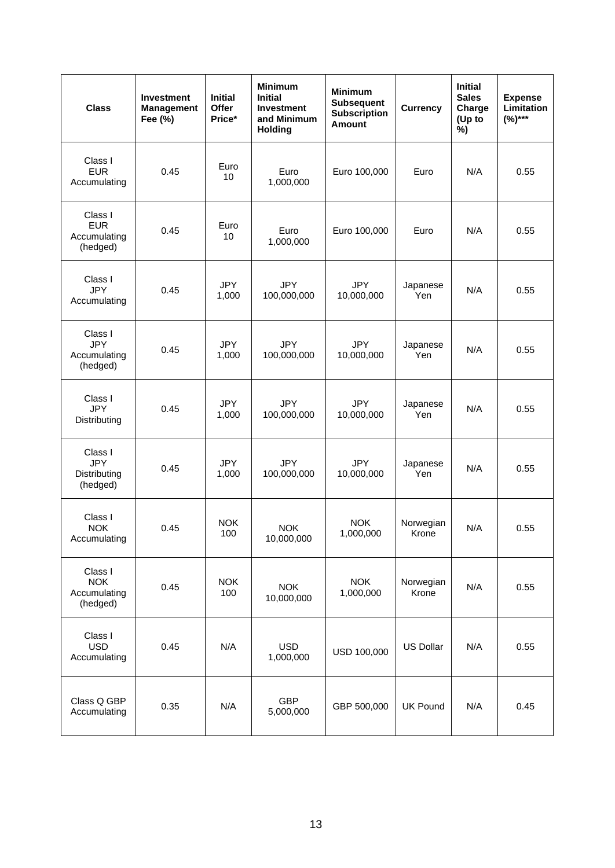| <b>Class</b>                                      | <b>Investment</b><br><b>Management</b><br>Fee (%) | <b>Initial</b><br>Offer<br>Price* | <b>Minimum</b><br><b>Initial</b><br><b>Investment</b><br>and Minimum<br><b>Holding</b> | <b>Minimum</b><br><b>Subsequent</b><br><b>Subscription</b><br><b>Amount</b> | <b>Currency</b>    | <b>Initial</b><br><b>Sales</b><br>Charge<br>(Up to<br>%) | <b>Expense</b><br>Limitation<br>$(%)***$ |
|---------------------------------------------------|---------------------------------------------------|-----------------------------------|----------------------------------------------------------------------------------------|-----------------------------------------------------------------------------|--------------------|----------------------------------------------------------|------------------------------------------|
| Class I<br><b>EUR</b><br>Accumulating             | 0.45                                              | Euro<br>10                        | Euro<br>1,000,000                                                                      | Euro 100,000                                                                | Euro               | N/A                                                      | 0.55                                     |
| Class I<br><b>EUR</b><br>Accumulating<br>(hedged) | 0.45                                              | Euro<br>10                        | Euro<br>1,000,000                                                                      | Euro 100,000                                                                | Euro               | N/A                                                      | 0.55                                     |
| Class I<br><b>JPY</b><br>Accumulating             | 0.45                                              | <b>JPY</b><br>1,000               | <b>JPY</b><br>100,000,000                                                              | <b>JPY</b><br>10,000,000                                                    | Japanese<br>Yen    | N/A                                                      | 0.55                                     |
| Class I<br><b>JPY</b><br>Accumulating<br>(hedged) | 0.45                                              | <b>JPY</b><br>1,000               | <b>JPY</b><br>100,000,000                                                              | <b>JPY</b><br>10,000,000                                                    | Japanese<br>Yen    | N/A                                                      | 0.55                                     |
| Class I<br><b>JPY</b><br>Distributing             | 0.45                                              | <b>JPY</b><br>1,000               | <b>JPY</b><br>100,000,000                                                              | <b>JPY</b><br>10,000,000                                                    | Japanese<br>Yen    | N/A                                                      | 0.55                                     |
| Class I<br><b>JPY</b><br>Distributing<br>(hedged) | 0.45                                              | <b>JPY</b><br>1,000               | <b>JPY</b><br>100,000,000                                                              | <b>JPY</b><br>10,000,000                                                    | Japanese<br>Yen    | N/A                                                      | 0.55                                     |
| Class I<br><b>NOK</b><br>Accumulating             | 0.45                                              | <b>NOK</b><br>100                 | <b>NOK</b><br>10,000,000                                                               | <b>NOK</b><br>1,000,000                                                     | Norwegian<br>Krone | N/A                                                      | 0.55                                     |
| Class I<br><b>NOK</b><br>Accumulating<br>(hedged) | 0.45                                              | <b>NOK</b><br>100                 | <b>NOK</b><br>10,000,000                                                               | <b>NOK</b><br>1,000,000                                                     | Norwegian<br>Krone | N/A                                                      | 0.55                                     |
| Class I<br><b>USD</b><br>Accumulating             | 0.45                                              | N/A                               | <b>USD</b><br>1,000,000                                                                | USD 100,000                                                                 | <b>US Dollar</b>   | N/A                                                      | 0.55                                     |
| Class Q GBP<br>Accumulating                       | 0.35                                              | N/A                               | <b>GBP</b><br>5,000,000                                                                | GBP 500,000                                                                 | <b>UK Pound</b>    | N/A                                                      | 0.45                                     |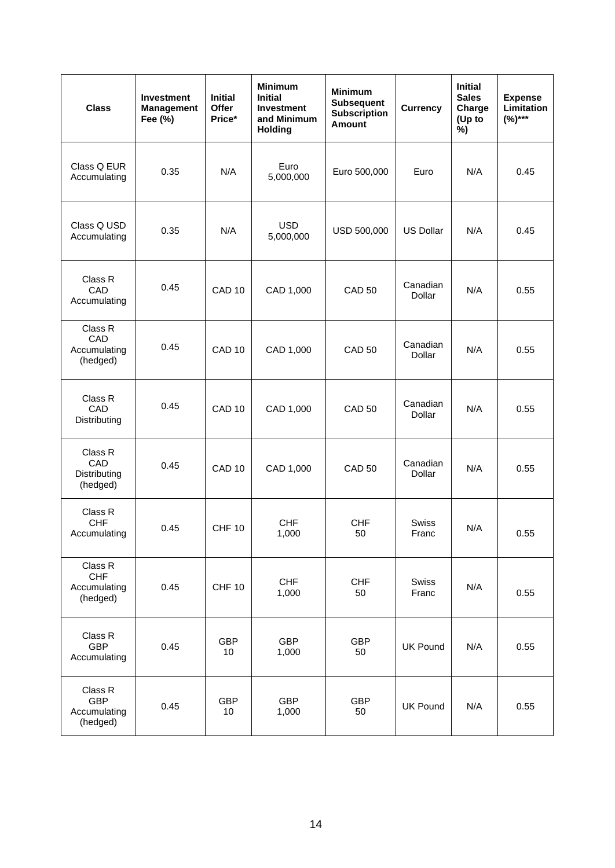| <b>Class</b>                                      | <b>Investment</b><br><b>Management</b><br>Fee (%) | <b>Initial</b><br>Offer<br>Price* | <b>Minimum</b><br><b>Initial</b><br><b>Investment</b><br>and Minimum<br><b>Holding</b> | <b>Minimum</b><br><b>Subsequent</b><br><b>Subscription</b><br><b>Amount</b> | <b>Currency</b>       | <b>Initial</b><br><b>Sales</b><br>Charge<br>(Up to<br>%) | <b>Expense</b><br><b>Limitation</b><br>$(%)***$ |
|---------------------------------------------------|---------------------------------------------------|-----------------------------------|----------------------------------------------------------------------------------------|-----------------------------------------------------------------------------|-----------------------|----------------------------------------------------------|-------------------------------------------------|
| Class Q EUR<br>Accumulating                       | 0.35                                              | N/A                               | Euro<br>5,000,000                                                                      | Euro 500,000                                                                | Euro                  | N/A                                                      | 0.45                                            |
| Class Q USD<br>Accumulating                       | 0.35                                              | N/A                               | <b>USD</b><br>5,000,000                                                                | USD 500,000                                                                 | <b>US Dollar</b>      | N/A                                                      | 0.45                                            |
| Class R<br>CAD<br>Accumulating                    | 0.45                                              | CAD <sub>10</sub>                 | CAD 1,000                                                                              | <b>CAD 50</b>                                                               | Canadian<br>Dollar    | N/A                                                      | 0.55                                            |
| Class R<br>CAD<br>Accumulating<br>(hedged)        | 0.45                                              | CAD <sub>10</sub>                 | CAD 1,000                                                                              | <b>CAD 50</b>                                                               | Canadian<br>Dollar    | N/A                                                      | 0.55                                            |
| Class R<br>CAD<br>Distributing                    | 0.45                                              | CAD <sub>10</sub>                 | CAD 1,000                                                                              | <b>CAD 50</b>                                                               | Canadian<br>Dollar    | N/A                                                      | 0.55                                            |
| Class R<br>CAD<br>Distributing<br>(hedged)        | 0.45                                              | CAD <sub>10</sub>                 | CAD 1,000                                                                              | <b>CAD 50</b>                                                               | Canadian<br>Dollar    | N/A                                                      | 0.55                                            |
| Class R<br><b>CHF</b><br>Accumulating             | 0.45                                              | <b>CHF 10</b>                     | <b>CHF</b><br>1,000                                                                    | <b>CHF</b><br>50                                                            | <b>Swiss</b><br>Franc | N/A                                                      | 0.55                                            |
| Class R<br><b>CHF</b><br>Accumulating<br>(hedged) | 0.45                                              | <b>CHF 10</b>                     | <b>CHF</b><br>1,000                                                                    | <b>CHF</b><br>50                                                            | Swiss<br>Franc        | N/A                                                      | 0.55                                            |
| Class R<br><b>GBP</b><br>Accumulating             | 0.45                                              | <b>GBP</b><br>10                  | <b>GBP</b><br>1,000                                                                    | <b>GBP</b><br>50                                                            | <b>UK Pound</b>       | N/A                                                      | 0.55                                            |
| Class R<br><b>GBP</b><br>Accumulating<br>(hedged) | 0.45                                              | <b>GBP</b><br>10                  | <b>GBP</b><br>1,000                                                                    | <b>GBP</b><br>50                                                            | <b>UK Pound</b>       | N/A                                                      | 0.55                                            |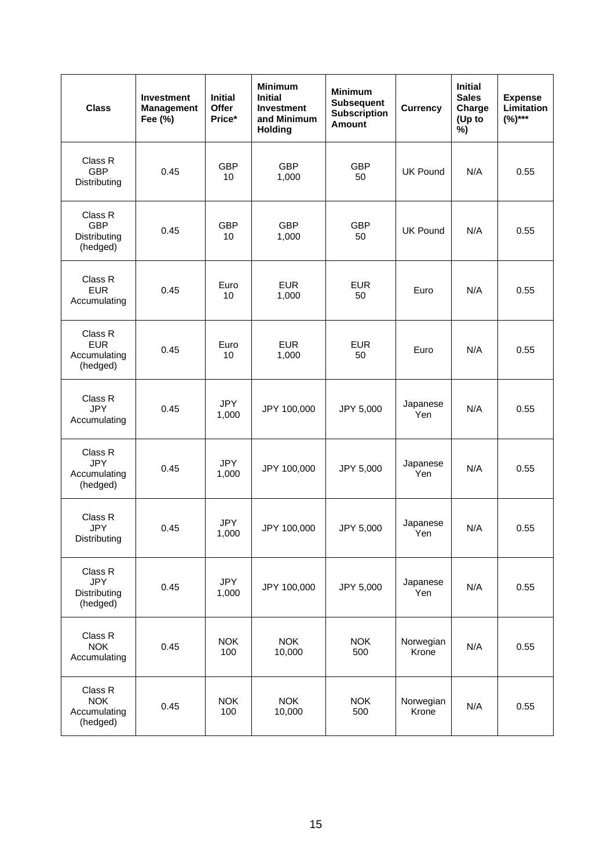| <b>Class</b>                                      | <b>Investment</b><br><b>Management</b><br>Fee (%) | <b>Initial</b><br>Offer<br>Price* | <b>Minimum</b><br><b>Initial</b><br><b>Investment</b><br>and Minimum<br><b>Holding</b> | <b>Minimum</b><br><b>Subsequent</b><br><b>Subscription</b><br><b>Amount</b> | <b>Currency</b>    | <b>Initial</b><br><b>Sales</b><br>Charge<br>(Up to<br>%) | <b>Expense</b><br><b>Limitation</b><br>$(%)***$ |
|---------------------------------------------------|---------------------------------------------------|-----------------------------------|----------------------------------------------------------------------------------------|-----------------------------------------------------------------------------|--------------------|----------------------------------------------------------|-------------------------------------------------|
| Class R<br><b>GBP</b><br>Distributing             | 0.45                                              | <b>GBP</b><br>10                  | <b>GBP</b><br>1,000                                                                    | <b>GBP</b><br>50                                                            | <b>UK Pound</b>    | N/A                                                      | 0.55                                            |
| Class R<br><b>GBP</b><br>Distributing<br>(hedged) | 0.45                                              | <b>GBP</b><br>10                  | <b>GBP</b><br>1,000                                                                    | <b>GBP</b><br>50                                                            | <b>UK Pound</b>    | N/A                                                      | 0.55                                            |
| Class R<br><b>EUR</b><br>Accumulating             | 0.45                                              | Euro<br>10                        | <b>EUR</b><br>1,000                                                                    | <b>EUR</b><br>50                                                            | Euro               | N/A                                                      | 0.55                                            |
| Class R<br><b>EUR</b><br>Accumulating<br>(hedged) | 0.45                                              | Euro<br>10                        | <b>EUR</b><br>1,000                                                                    | <b>EUR</b><br>50                                                            | Euro               | N/A                                                      | 0.55                                            |
| Class R<br><b>JPY</b><br>Accumulating             | 0.45                                              | <b>JPY</b><br>1,000               | JPY 100,000                                                                            | JPY 5,000                                                                   | Japanese<br>Yen    | N/A                                                      | 0.55                                            |
| Class R<br><b>JPY</b><br>Accumulating<br>(hedged) | 0.45                                              | <b>JPY</b><br>1,000               | JPY 100,000                                                                            | JPY 5,000                                                                   | Japanese<br>Yen    | N/A                                                      | 0.55                                            |
| Class R<br><b>JPY</b><br>Distributing             | 0.45                                              | <b>JPY</b><br>1,000               | JPY 100,000                                                                            | JPY 5,000                                                                   | Japanese<br>Yen    | N/A                                                      | 0.55                                            |
| Class R<br><b>JPY</b><br>Distributing<br>(hedged) | 0.45                                              | <b>JPY</b><br>1,000               | JPY 100,000                                                                            | JPY 5,000                                                                   | Japanese<br>Yen    | N/A                                                      | 0.55                                            |
| Class R<br><b>NOK</b><br>Accumulating             | 0.45                                              | <b>NOK</b><br>100                 | <b>NOK</b><br>10,000                                                                   | <b>NOK</b><br>500                                                           | Norwegian<br>Krone | N/A                                                      | 0.55                                            |
| Class R<br><b>NOK</b><br>Accumulating<br>(hedged) | 0.45                                              | <b>NOK</b><br>100                 | <b>NOK</b><br>10,000                                                                   | <b>NOK</b><br>500                                                           | Norwegian<br>Krone | N/A                                                      | 0.55                                            |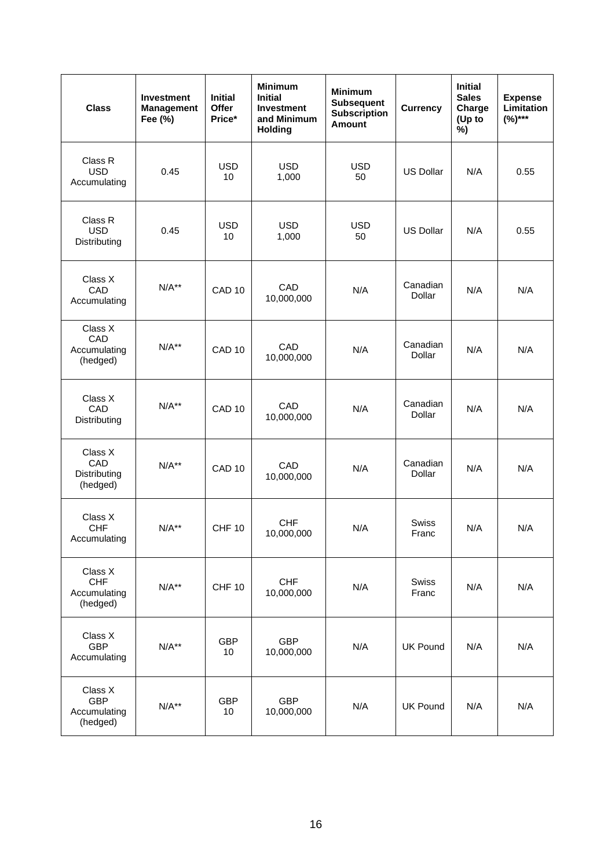| <b>Class</b>                                      | <b>Investment</b><br><b>Management</b><br>Fee (%) | <b>Initial</b><br>Offer<br>Price* | <b>Minimum</b><br><b>Initial</b><br><b>Investment</b><br>and Minimum<br><b>Holding</b> | <b>Minimum</b><br><b>Subsequent</b><br><b>Subscription</b><br><b>Amount</b> | <b>Currency</b>       | <b>Initial</b><br><b>Sales</b><br>Charge<br>(Up to<br>%) | <b>Expense</b><br>Limitation<br>$(%)***$ |
|---------------------------------------------------|---------------------------------------------------|-----------------------------------|----------------------------------------------------------------------------------------|-----------------------------------------------------------------------------|-----------------------|----------------------------------------------------------|------------------------------------------|
| Class R<br><b>USD</b><br>Accumulating             | 0.45                                              | <b>USD</b><br>10                  | <b>USD</b><br>1,000                                                                    | <b>USD</b><br>50                                                            | <b>US Dollar</b>      | N/A                                                      | 0.55                                     |
| Class R<br><b>USD</b><br>Distributing             | 0.45                                              | <b>USD</b><br>10                  | <b>USD</b><br>1,000                                                                    | <b>USD</b><br>50                                                            | <b>US Dollar</b>      | N/A                                                      | 0.55                                     |
| Class X<br>CAD<br>Accumulating                    | $N/A**$                                           | CAD <sub>10</sub>                 | CAD<br>10,000,000                                                                      | N/A                                                                         | Canadian<br>Dollar    | N/A                                                      | N/A                                      |
| Class X<br>CAD<br>Accumulating<br>(hedged)        | $N/A**$                                           | CAD <sub>10</sub>                 | CAD<br>10,000,000                                                                      | N/A                                                                         | Canadian<br>Dollar    | N/A                                                      | N/A                                      |
| Class X<br>CAD<br>Distributing                    | $N/A**$                                           | CAD <sub>10</sub>                 | CAD<br>10,000,000                                                                      | N/A                                                                         | Canadian<br>Dollar    | N/A                                                      | N/A                                      |
| Class X<br>CAD<br>Distributing<br>(hedged)        | $N/A**$                                           | CAD <sub>10</sub>                 | CAD<br>10,000,000                                                                      | N/A                                                                         | Canadian<br>Dollar    | N/A                                                      | N/A                                      |
| Class X<br><b>CHF</b><br>Accumulating             | $N/A**$                                           | <b>CHF 10</b>                     | <b>CHF</b><br>10,000,000                                                               | N/A                                                                         | <b>Swiss</b><br>Franc | N/A                                                      | N/A                                      |
| Class X<br><b>CHF</b><br>Accumulating<br>(hedged) | $N/A**$                                           | <b>CHF 10</b>                     | <b>CHF</b><br>10,000,000                                                               | N/A                                                                         | Swiss<br>Franc        | N/A                                                      | N/A                                      |
| Class X<br><b>GBP</b><br>Accumulating             | $N/A**$                                           | <b>GBP</b><br>10                  | <b>GBP</b><br>10,000,000                                                               | N/A                                                                         | <b>UK Pound</b>       | N/A                                                      | N/A                                      |
| Class X<br><b>GBP</b><br>Accumulating<br>(hedged) | $N/A**$                                           | <b>GBP</b><br>10                  | <b>GBP</b><br>10,000,000                                                               | N/A                                                                         | <b>UK Pound</b>       | N/A                                                      | N/A                                      |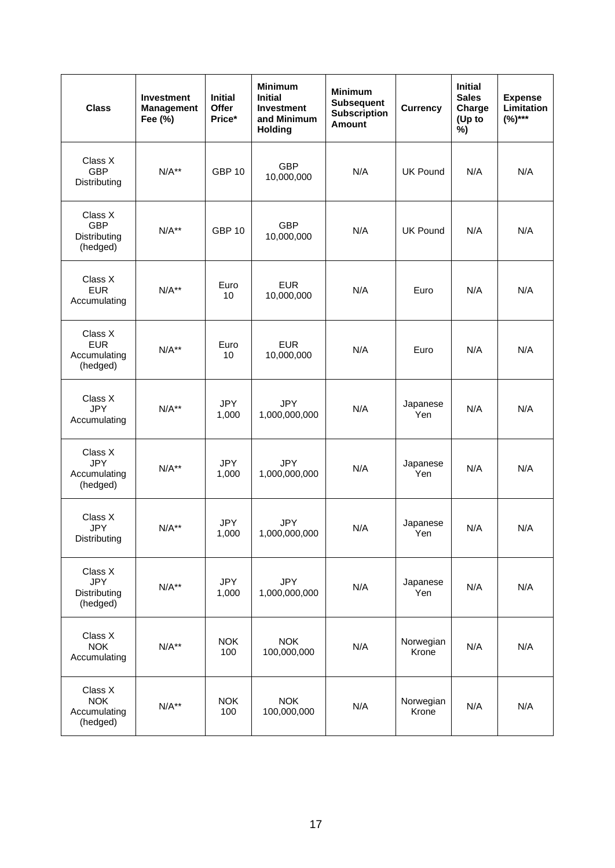| <b>Class</b>                                      | <b>Investment</b><br><b>Management</b><br>Fee (%) | <b>Initial</b><br>Offer<br>Price* | <b>Minimum</b><br><b>Initial</b><br><b>Investment</b><br>and Minimum<br><b>Holding</b> | <b>Minimum</b><br><b>Subsequent</b><br><b>Subscription</b><br><b>Amount</b> | <b>Currency</b>    | <b>Initial</b><br><b>Sales</b><br>Charge<br>(Up to<br>%) | <b>Expense</b><br>Limitation<br>$(%)***$ |
|---------------------------------------------------|---------------------------------------------------|-----------------------------------|----------------------------------------------------------------------------------------|-----------------------------------------------------------------------------|--------------------|----------------------------------------------------------|------------------------------------------|
| Class X<br><b>GBP</b><br>Distributing             | $N/A**$                                           | <b>GBP 10</b>                     | <b>GBP</b><br>10,000,000                                                               | N/A                                                                         | <b>UK Pound</b>    | N/A                                                      | N/A                                      |
| Class X<br><b>GBP</b><br>Distributing<br>(hedged) | $N/A**$                                           | <b>GBP 10</b>                     | <b>GBP</b><br>10,000,000                                                               | N/A                                                                         | <b>UK Pound</b>    | N/A                                                      | N/A                                      |
| Class X<br><b>EUR</b><br>Accumulating             | $N/A**$                                           | Euro<br>10                        | <b>EUR</b><br>10,000,000                                                               | N/A                                                                         | Euro               | N/A                                                      | N/A                                      |
| Class X<br><b>EUR</b><br>Accumulating<br>(hedged) | $N/A**$                                           | Euro<br>10                        | <b>EUR</b><br>10,000,000                                                               | N/A                                                                         | Euro               | N/A                                                      | N/A                                      |
| Class X<br><b>JPY</b><br>Accumulating             | $N/A**$                                           | <b>JPY</b><br>1,000               | <b>JPY</b><br>1,000,000,000                                                            | N/A                                                                         | Japanese<br>Yen    | N/A                                                      | N/A                                      |
| Class X<br><b>JPY</b><br>Accumulating<br>(hedged) | $N/A**$                                           | <b>JPY</b><br>1,000               | <b>JPY</b><br>1,000,000,000                                                            | N/A                                                                         | Japanese<br>Yen    | N/A                                                      | N/A                                      |
| Class X<br><b>JPY</b><br>Distributing             | $N/A**$                                           | <b>JPY</b><br>1,000               | <b>JPY</b><br>1,000,000,000                                                            | N/A                                                                         | Japanese<br>Yen    | N/A                                                      | N/A                                      |
| Class X<br><b>JPY</b><br>Distributing<br>(hedged) | $N/A**$                                           | <b>JPY</b><br>1,000               | <b>JPY</b><br>1,000,000,000                                                            | N/A                                                                         | Japanese<br>Yen    | N/A                                                      | N/A                                      |
| Class X<br><b>NOK</b><br>Accumulating             | $N/A**$                                           | <b>NOK</b><br>100                 | <b>NOK</b><br>100,000,000                                                              | N/A                                                                         | Norwegian<br>Krone | N/A                                                      | N/A                                      |
| Class X<br><b>NOK</b><br>Accumulating<br>(hedged) | $N/A**$                                           | <b>NOK</b><br>100                 | <b>NOK</b><br>100,000,000                                                              | N/A                                                                         | Norwegian<br>Krone | N/A                                                      | N/A                                      |